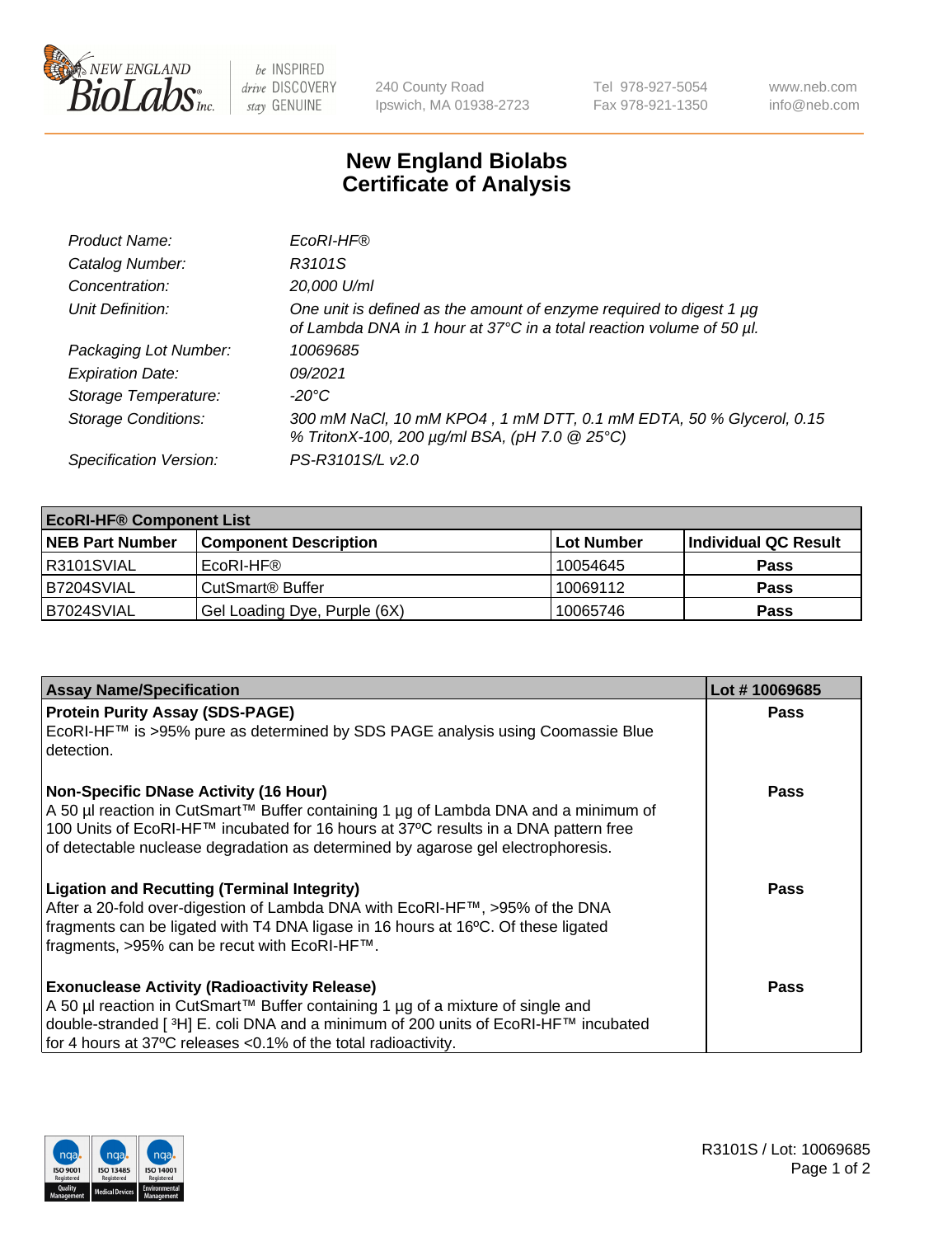

 $be$  INSPIRED drive DISCOVERY stay GENUINE

240 County Road Ipswich, MA 01938-2723 Tel 978-927-5054 Fax 978-921-1350 www.neb.com info@neb.com

## **New England Biolabs Certificate of Analysis**

| Product Name:              | EcoRI-HF®                                                                                                                                   |
|----------------------------|---------------------------------------------------------------------------------------------------------------------------------------------|
| Catalog Number:            | R3101S                                                                                                                                      |
| Concentration:             | 20,000 U/ml                                                                                                                                 |
| Unit Definition:           | One unit is defined as the amount of enzyme required to digest 1 µg<br>of Lambda DNA in 1 hour at 37°C in a total reaction volume of 50 µl. |
| Packaging Lot Number:      | 10069685                                                                                                                                    |
| <b>Expiration Date:</b>    | 09/2021                                                                                                                                     |
| Storage Temperature:       | -20°C                                                                                                                                       |
| <b>Storage Conditions:</b> | 300 mM NaCl, 10 mM KPO4, 1 mM DTT, 0.1 mM EDTA, 50 % Glycerol, 0.15<br>% TritonX-100, 200 µg/ml BSA, (pH 7.0 @ 25°C)                        |
| Specification Version:     | PS-R3101S/L v2.0                                                                                                                            |

| <b>EcoRI-HF® Component List</b> |                              |            |                      |  |  |
|---------------------------------|------------------------------|------------|----------------------|--|--|
| <b>NEB Part Number</b>          | <b>Component Description</b> | Lot Number | Individual QC Result |  |  |
| R3101SVIAL                      | EcoRI-HF®                    | 10054645   | <b>Pass</b>          |  |  |
| B7204SVIAL                      | CutSmart <sup>®</sup> Buffer | 10069112   | <b>Pass</b>          |  |  |
| B7024SVIAL                      | Gel Loading Dye, Purple (6X) | 10065746   | <b>Pass</b>          |  |  |

| <b>Assay Name/Specification</b>                                                                                                                                                                                                                                | Lot #10069685 |
|----------------------------------------------------------------------------------------------------------------------------------------------------------------------------------------------------------------------------------------------------------------|---------------|
| <b>Protein Purity Assay (SDS-PAGE)</b>                                                                                                                                                                                                                         | <b>Pass</b>   |
| EcoRI-HF™ is >95% pure as determined by SDS PAGE analysis using Coomassie Blue<br>detection.                                                                                                                                                                   |               |
| <b>Non-Specific DNase Activity (16 Hour)</b>                                                                                                                                                                                                                   | Pass          |
| A 50 µl reaction in CutSmart™ Buffer containing 1 µg of Lambda DNA and a minimum of<br>100 Units of EcoRI-HF™ incubated for 16 hours at 37°C results in a DNA pattern free<br>of detectable nuclease degradation as determined by agarose gel electrophoresis. |               |
| <b>Ligation and Recutting (Terminal Integrity)</b>                                                                                                                                                                                                             | Pass          |
| After a 20-fold over-digestion of Lambda DNA with EcoRI-HF™, >95% of the DNA                                                                                                                                                                                   |               |
| fragments can be ligated with T4 DNA ligase in 16 hours at 16°C. Of these ligated<br>fragments, >95% can be recut with EcoRI-HF™.                                                                                                                              |               |
|                                                                                                                                                                                                                                                                |               |
| <b>Exonuclease Activity (Radioactivity Release)</b>                                                                                                                                                                                                            | Pass          |
| A 50 µl reaction in CutSmart™ Buffer containing 1 µg of a mixture of single and                                                                                                                                                                                |               |
| double-stranded [ <sup>3</sup> H] E. coli DNA and a minimum of 200 units of EcoRI-HF™ incubated                                                                                                                                                                |               |
| for 4 hours at 37°C releases <0.1% of the total radioactivity.                                                                                                                                                                                                 |               |